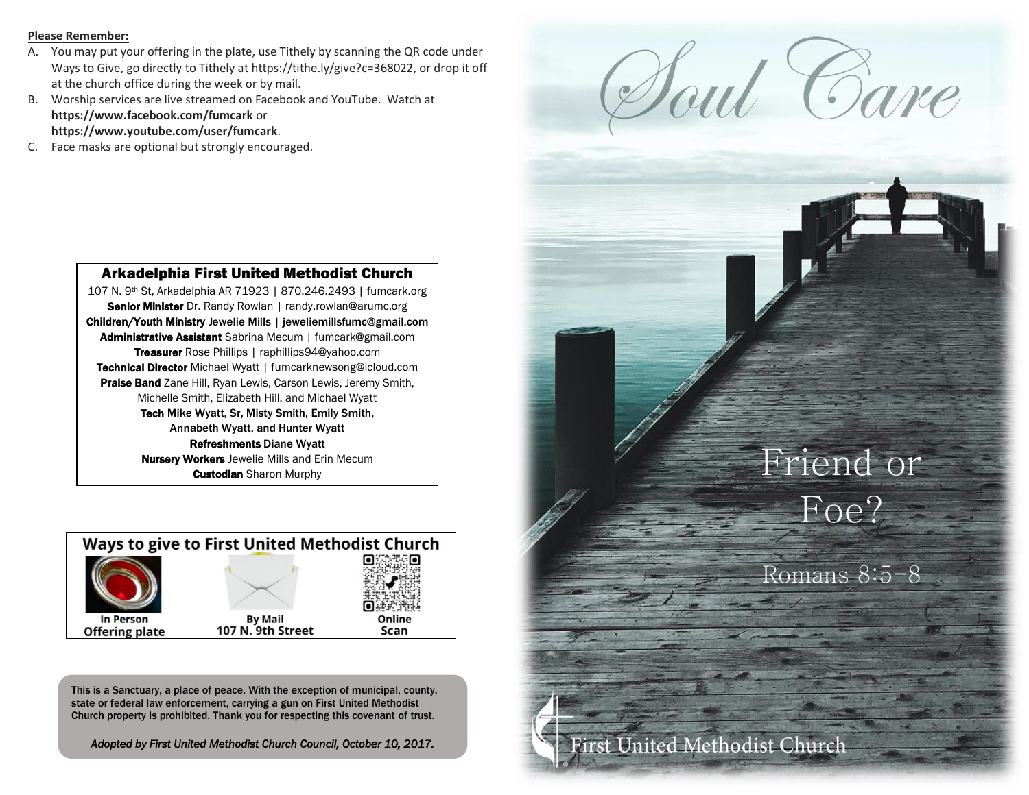#### **Please Remember:**

- A. You may put your offering in the plate, use Tithely by scanning the QR code under Ways to Give, go directly to Tithely at https://tithe.ly/give?c=368022, or drop it off at the church office during the week or by mail.
- B. Worship services are live streamed on Facebook and YouTube. Watch at **https://www.facebook.com/fumcark** or **https://www.youtube.com/user/fumcark**.
- C. Face masks are optional but strongly encouraged.



## Arkadelphia First United Methodist Church

107 N. 9th St, Arkadelphia AR 71923 | 870.246.2493 | fumcark.org Senior Minister Dr. Randy Rowlan | randy.rowlan@arumc.org Children/Youth Ministry Jewelie Mills | jeweliemillsfumc@gmail.com Administrative Assistant Sabrina Mecum | fumcark@gmail.com Treasurer Rose Phillips | raphillips94@yahoo.com Technical Director Michael Wyatt | fumcarknewsong@icloud.com Praise Band Zane Hill, Ryan Lewis, Carson Lewis, Jeremy Smith, Michelle Smith, Elizabeth Hill, and Michael Wyatt Tech Mike Wyatt, Sr, Misty Smith, Emily Smith, Annabeth Wyatt, and Hunter Wyatt Refreshments Diane Wyatt **Nursery Workers** Jewelie Mills and Erin Mecum **Custodian** Sharon Murphy



This is a Sanctuary, a place of peace. With the exception of municipal, county, state or federal law enforcement, carrying a gun on First United Methodist Church property is prohibited. Thank you for respecting this covenant of trust.

*Adopted by First United Methodist Church Council, October 10, 2017.*

# Friend or Foe?

Romans 8:5-8

United Methodist Church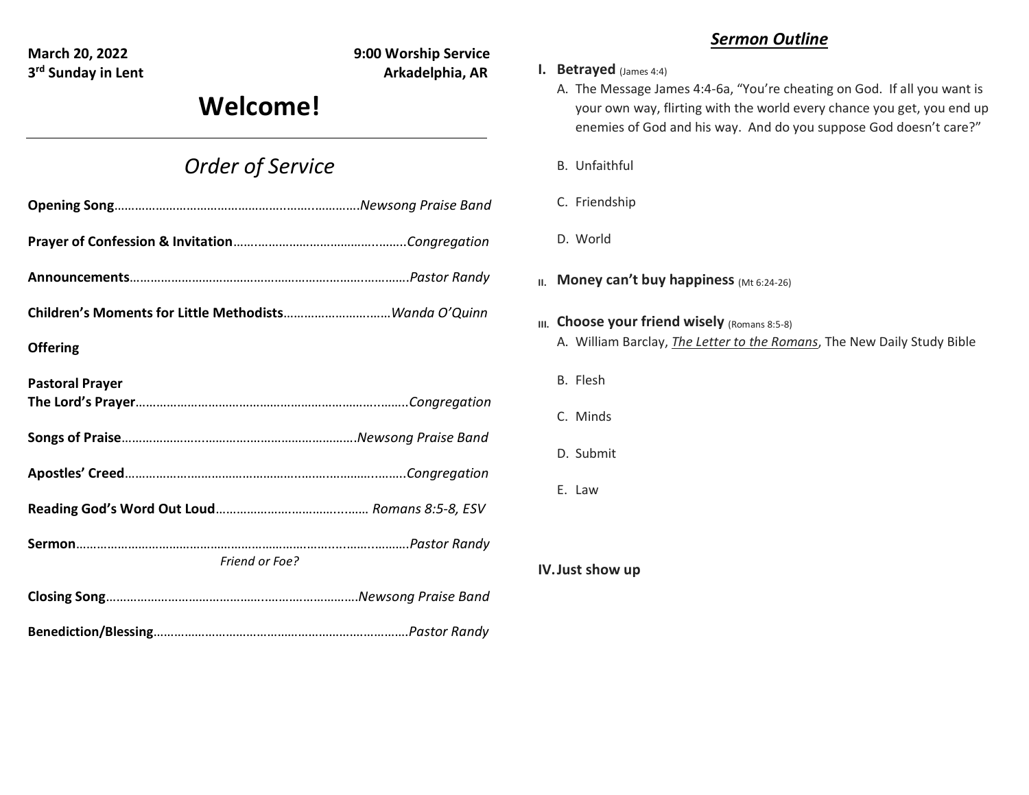**3<sup>rd</sup> Sunday in Lent** Arkadelphia, AR

**March 20, 2022 9:00 Worship Service**

# **Welcome!**

# *Order of Service*

| <b>Offering</b>        |  |
|------------------------|--|
| <b>Pastoral Prayer</b> |  |
|                        |  |
|                        |  |
|                        |  |
| Friend or Foe?         |  |
|                        |  |
|                        |  |

## *Sermon Outline*

## **I. Betrayed** (James 4:4)

- A. The Message James 4:4-6a, "You're cheating on God. If all you want is your own way, flirting with the world every chance you get, you end up enemies of God and his way. And do you suppose God doesn't care?"
- B. Unfaithful
- C. Friendship
- D. World
- **II. Money can't buy happiness** (Mt 6:24-26)
- **III.** Choose your friend wisely (Romans 8:5-8)
	- A. William Barclay, *The Letter to the Romans*, The New Daily Study Bible
	- B. Flesh
	- C. Minds
	- D. Submit
	- E. Law

**IV.Just show up**